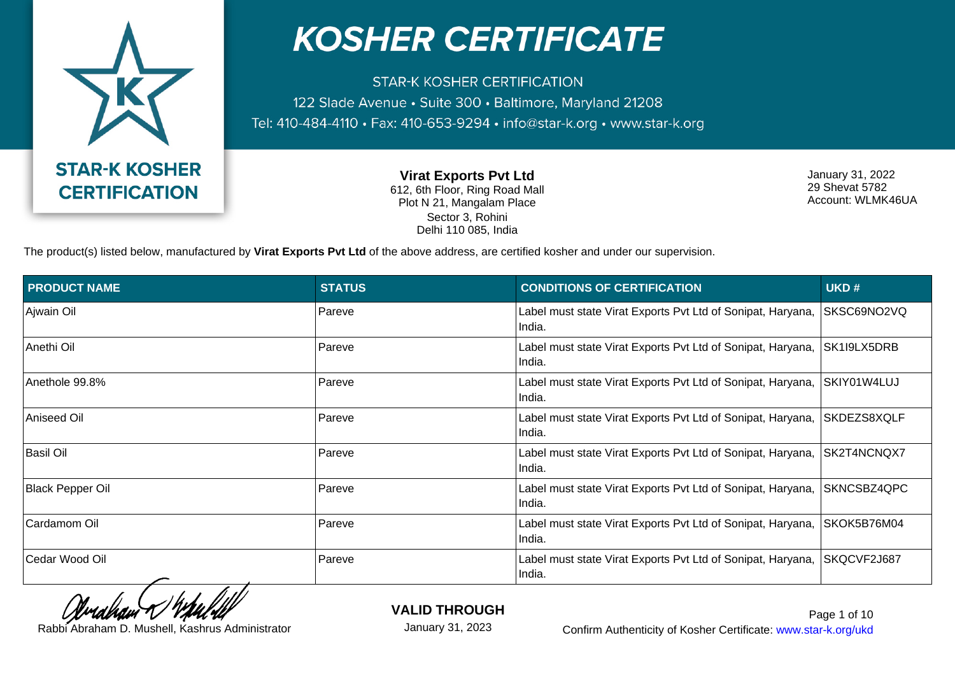

**STAR-K KOSHER CERTIFICATION** 122 Slade Avenue · Suite 300 · Baltimore, Maryland 21208 Tel: 410-484-4110 · Fax: 410-653-9294 · info@star-k.org · www.star-k.org

> **Virat Exports Pvt Ltd** 612, 6th Floor, Ring Road Mall Plot N 21, Mangalam Place Sector 3, Rohini Delhi 110 085, India

January 31, 2022 29 Shevat 5782 Account: WLMK46UA

The product(s) listed below, manufactured by **Virat Exports Pvt Ltd** of the above address, are certified kosher and under our supervision.

| <b>PRODUCT NAME</b>     | <b>STATUS</b> | <b>CONDITIONS OF CERTIFICATION</b>                                    | UKD#        |
|-------------------------|---------------|-----------------------------------------------------------------------|-------------|
| Ajwain Oil              | Pareve        | Label must state Virat Exports Pvt Ltd of Sonipat, Haryana,<br>India. | SKSC69NO2VQ |
| Anethi Oil              | Pareve        | Label must state Virat Exports Pvt Ltd of Sonipat, Haryana,<br>India. | SK1I9LX5DRB |
| Anethole 99.8%          | Pareve        | Label must state Virat Exports Pvt Ltd of Sonipat, Haryana,<br>India. | SKIY01W4LUJ |
| Aniseed Oil             | Pareve        | Label must state Virat Exports Pvt Ltd of Sonipat, Haryana,<br>India. | SKDEZS8XQLF |
| Basil Oil               | Pareve        | Label must state Virat Exports Pvt Ltd of Sonipat, Haryana,<br>India. | SK2T4NCNQX7 |
| <b>Black Pepper Oil</b> | Pareve        | Label must state Virat Exports Pvt Ltd of Sonipat, Haryana,<br>India. | SKNCSBZ4QPC |
| Cardamom Oil            | Pareve        | Label must state Virat Exports Pvt Ltd of Sonipat, Haryana,<br>India. | SKOK5B76M04 |
| Cedar Wood Oil          | Pareve        | Label must state Virat Exports Pvt Ltd of Sonipat, Haryana,<br>India. | SKQCVF2J687 |

**VALID THROUGH**

January 31, 2023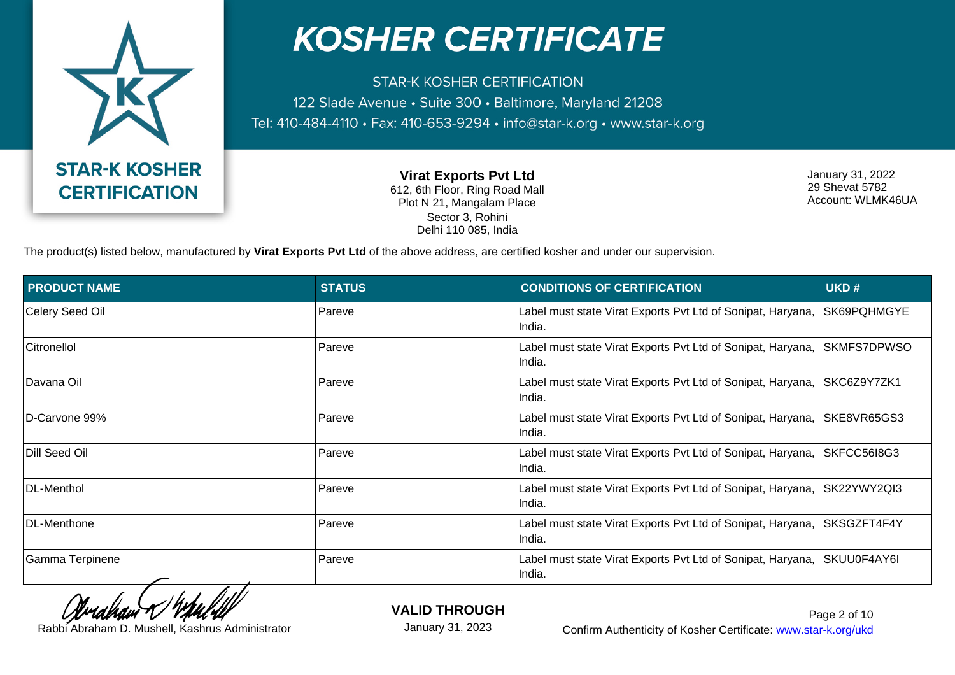

**STAR-K KOSHER CERTIFICATION** 122 Slade Avenue · Suite 300 · Baltimore, Maryland 21208 Tel: 410-484-4110 · Fax: 410-653-9294 · info@star-k.org · www.star-k.org

> **Virat Exports Pvt Ltd** 612, 6th Floor, Ring Road Mall Plot N 21, Mangalam Place Sector 3, Rohini Delhi 110 085, India

January 31, 2022 29 Shevat 5782 Account: WLMK46UA

The product(s) listed below, manufactured by **Virat Exports Pvt Ltd** of the above address, are certified kosher and under our supervision.

| <b>PRODUCT NAME</b> | <b>STATUS</b> | <b>CONDITIONS OF CERTIFICATION</b>                                    | UKD#        |
|---------------------|---------------|-----------------------------------------------------------------------|-------------|
| Celery Seed Oil     | Pareve        | Label must state Virat Exports Pvt Ltd of Sonipat, Haryana,<br>India. | SK69PQHMGYE |
| <b>Citronellol</b>  | Pareve        | Label must state Virat Exports Pvt Ltd of Sonipat, Haryana,<br>India. | SKMFS7DPWSO |
| Davana Oil          | Pareve        | Label must state Virat Exports Pvt Ltd of Sonipat, Haryana,<br>India. | SKC6Z9Y7ZK1 |
| D-Carvone 99%       | Pareve        | Label must state Virat Exports Pvt Ltd of Sonipat, Haryana,<br>India. | SKE8VR65GS3 |
| Dill Seed Oil       | Pareve        | Label must state Virat Exports Pvt Ltd of Sonipat, Haryana,<br>India. | SKFCC5618G3 |
| DL-Menthol          | Pareve        | Label must state Virat Exports Pvt Ltd of Sonipat, Haryana,<br>India. | SK22YWY2QI3 |
| DL-Menthone         | Pareve        | Label must state Virat Exports Pvt Ltd of Sonipat, Haryana,<br>India. | SKSGZFT4F4Y |
| Gamma Terpinene     | Pareve        | Label must state Virat Exports Pvt Ltd of Sonipat, Haryana,<br>India. | SKUU0F4AY6I |

**VALID THROUGH**

January 31, 2023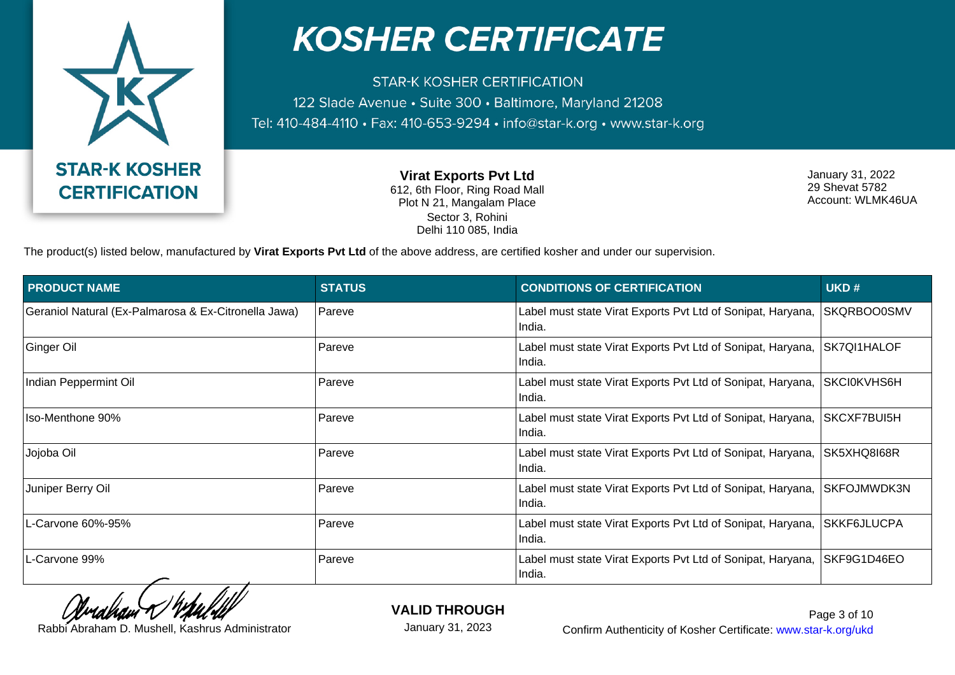

**STAR-K KOSHER CERTIFICATION** 122 Slade Avenue · Suite 300 · Baltimore, Maryland 21208 Tel: 410-484-4110 · Fax: 410-653-9294 · info@star-k.org · www.star-k.org

> **Virat Exports Pvt Ltd** 612, 6th Floor, Ring Road Mall Plot N 21, Mangalam Place Sector 3, Rohini Delhi 110 085, India

January 31, 2022 29 Shevat 5782 Account: WLMK46UA

The product(s) listed below, manufactured by **Virat Exports Pvt Ltd** of the above address, are certified kosher and under our supervision.

| <b>PRODUCT NAME</b>                                  | <b>STATUS</b> | <b>CONDITIONS OF CERTIFICATION</b>                                    | UKD#               |
|------------------------------------------------------|---------------|-----------------------------------------------------------------------|--------------------|
| Geraniol Natural (Ex-Palmarosa & Ex-Citronella Jawa) | Pareve        | Label must state Virat Exports Pvt Ltd of Sonipat, Haryana,<br>India. | SKQRBOO0SMV        |
| Ginger Oil                                           | Pareve        | Label must state Virat Exports Pvt Ltd of Sonipat, Haryana,<br>India. | SK7QI1HALOF        |
| Indian Peppermint Oil                                | Pareve        | Label must state Virat Exports Pvt Ltd of Sonipat, Haryana,<br>India. | SKCI0KVHS6H        |
| Iso-Menthone 90%                                     | Pareve        | Label must state Virat Exports Pvt Ltd of Sonipat, Haryana,<br>India. | SKCXF7BUI5H        |
| Jojoba Oil                                           | Pareve        | Label must state Virat Exports Pvt Ltd of Sonipat, Haryana,<br>India. | SK5XHQ8I68R        |
| Juniper Berry Oil                                    | Pareve        | Label must state Virat Exports Pvt Ltd of Sonipat, Haryana,<br>India. | <b>SKFOJMWDK3N</b> |
| L-Carvone 60%-95%                                    | Pareve        | Label must state Virat Exports Pvt Ltd of Sonipat, Haryana,<br>India. | <b>SKKF6JLUCPA</b> |
| L-Carvone 99%                                        | Pareve        | Label must state Virat Exports Pvt Ltd of Sonipat, Haryana,<br>India. | SKF9G1D46EO        |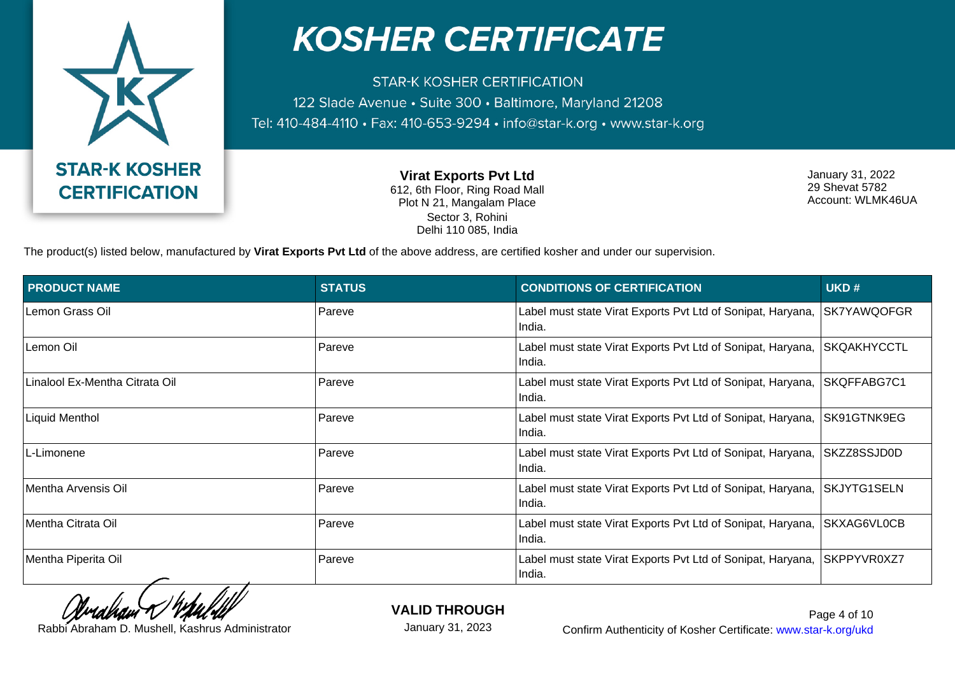

**STAR-K KOSHER CERTIFICATION** 122 Slade Avenue · Suite 300 · Baltimore, Maryland 21208 Tel: 410-484-4110 · Fax: 410-653-9294 · info@star-k.org · www.star-k.org

> **Virat Exports Pvt Ltd** 612, 6th Floor, Ring Road Mall Plot N 21, Mangalam Place Sector 3, Rohini Delhi 110 085, India

January 31, 2022 29 Shevat 5782 Account: WLMK46UA

The product(s) listed below, manufactured by **Virat Exports Pvt Ltd** of the above address, are certified kosher and under our supervision.

| <b>PRODUCT NAME</b>            | <b>STATUS</b> | <b>CONDITIONS OF CERTIFICATION</b>                                    | UKD#               |
|--------------------------------|---------------|-----------------------------------------------------------------------|--------------------|
| Lemon Grass Oil                | Pareve        | Label must state Virat Exports Pvt Ltd of Sonipat, Haryana,<br>India. | SK7YAWQOFGR        |
| Lemon Oil                      | Pareve        | Label must state Virat Exports Pvt Ltd of Sonipat, Haryana,<br>India. | SKQAKHYCCTL        |
| Linalool Ex-Mentha Citrata Oil | Pareve        | Label must state Virat Exports Pvt Ltd of Sonipat, Haryana,<br>India. | SKQFFABG7C1        |
| <b>Liquid Menthol</b>          | Pareve        | Label must state Virat Exports Pvt Ltd of Sonipat, Haryana,<br>India. | SK91GTNK9EG        |
| L-Limonene                     | Pareve        | Label must state Virat Exports Pvt Ltd of Sonipat, Haryana,<br>India. | SKZZ8SSJD0D        |
| Mentha Arvensis Oil            | Pareve        | Label must state Virat Exports Pvt Ltd of Sonipat, Haryana,<br>India. | <b>SKJYTG1SELN</b> |
| Mentha Citrata Oil             | Pareve        | Label must state Virat Exports Pvt Ltd of Sonipat, Haryana,<br>India. | SKXAG6VL0CB        |
| Mentha Piperita Oil            | Pareve        | Label must state Virat Exports Pvt Ltd of Sonipat, Haryana,<br>India. | SKPPYVR0XZ7        |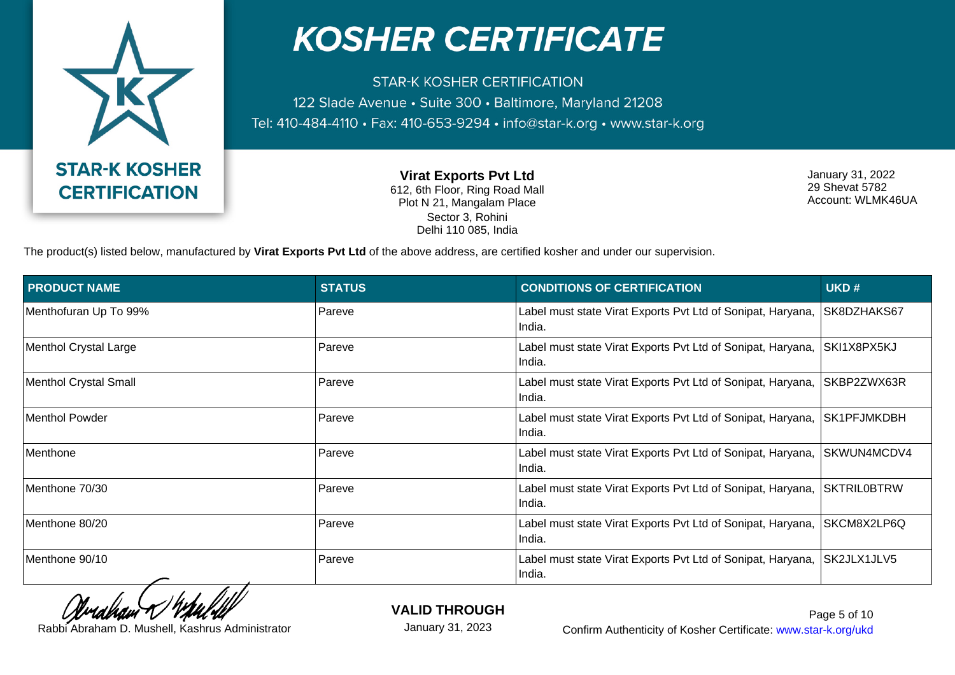

**STAR-K KOSHER CERTIFICATION** 122 Slade Avenue · Suite 300 · Baltimore, Maryland 21208 Tel: 410-484-4110 · Fax: 410-653-9294 · info@star-k.org · www.star-k.org

> **Virat Exports Pvt Ltd** 612, 6th Floor, Ring Road Mall Plot N 21, Mangalam Place Sector 3, Rohini Delhi 110 085, India

January 31, 2022 29 Shevat 5782 Account: WLMK46UA

The product(s) listed below, manufactured by **Virat Exports Pvt Ltd** of the above address, are certified kosher and under our supervision.

| <b>PRODUCT NAME</b>   | <b>STATUS</b> | <b>CONDITIONS OF CERTIFICATION</b>                                    | UKD#               |
|-----------------------|---------------|-----------------------------------------------------------------------|--------------------|
| Menthofuran Up To 99% | Pareve        | Label must state Virat Exports Pvt Ltd of Sonipat, Haryana,<br>India. | SK8DZHAKS67        |
| Menthol Crystal Large | Pareve        | Label must state Virat Exports Pvt Ltd of Sonipat, Haryana,<br>India. | SKI1X8PX5KJ        |
| Menthol Crystal Small | Pareve        | Label must state Virat Exports Pvt Ltd of Sonipat, Haryana,<br>India. | SKBP2ZWX63R        |
| Menthol Powder        | Pareve        | Label must state Virat Exports Pvt Ltd of Sonipat, Haryana,<br>India. | SK1PFJMKDBH        |
| Menthone              | Pareve        | Label must state Virat Exports Pvt Ltd of Sonipat, Haryana,<br>India. | SKWUN4MCDV4        |
| Menthone 70/30        | Pareve        | Label must state Virat Exports Pvt Ltd of Sonipat, Haryana,<br>India. | <b>SKTRILOBTRW</b> |
| Menthone 80/20        | Pareve        | Label must state Virat Exports Pvt Ltd of Sonipat, Haryana,<br>India. | SKCM8X2LP6Q        |
| Menthone 90/10        | Pareve        | Label must state Virat Exports Pvt Ltd of Sonipat, Haryana,<br>India. | SK2JLX1JLV5        |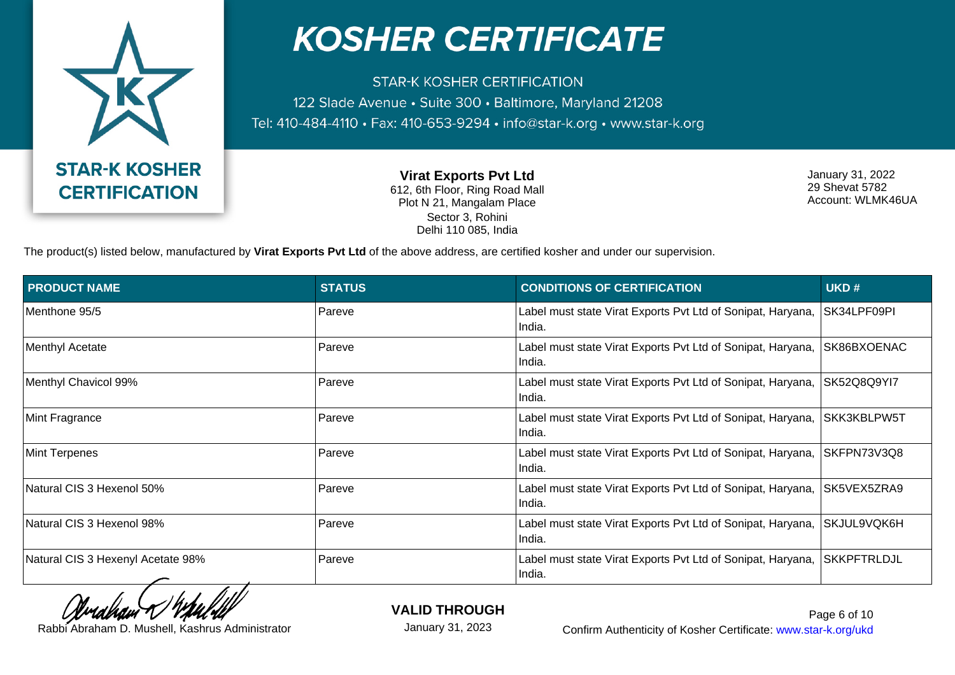

**STAR-K KOSHER CERTIFICATION** 122 Slade Avenue · Suite 300 · Baltimore, Maryland 21208 Tel: 410-484-4110 · Fax: 410-653-9294 · info@star-k.org · www.star-k.org

> **Virat Exports Pvt Ltd** 612, 6th Floor, Ring Road Mall Plot N 21, Mangalam Place Sector 3, Rohini Delhi 110 085, India

January 31, 2022 29 Shevat 5782 Account: WLMK46UA

The product(s) listed below, manufactured by **Virat Exports Pvt Ltd** of the above address, are certified kosher and under our supervision.

| <b>PRODUCT NAME</b>               | <b>STATUS</b> | <b>CONDITIONS OF CERTIFICATION</b>                                    | UKD#               |
|-----------------------------------|---------------|-----------------------------------------------------------------------|--------------------|
| Menthone 95/5                     | Pareve        | Label must state Virat Exports Pvt Ltd of Sonipat, Haryana,<br>India. | SK34LPF09PI        |
| Menthyl Acetate                   | Pareve        | Label must state Virat Exports Pvt Ltd of Sonipat, Haryana,<br>India. | SK86BXOENAC        |
| Menthyl Chavicol 99%              | Pareve        | Label must state Virat Exports Pvt Ltd of Sonipat, Haryana,<br>India. | SK52Q8Q9YI7        |
| Mint Fragrance                    | Pareve        | Label must state Virat Exports Pvt Ltd of Sonipat, Haryana,<br>India. | SKK3KBLPW5T        |
| Mint Terpenes                     | Pareve        | Label must state Virat Exports Pvt Ltd of Sonipat, Haryana,<br>India. | SKFPN73V3Q8        |
| Natural CIS 3 Hexenol 50%         | Pareve        | Label must state Virat Exports Pvt Ltd of Sonipat, Haryana,<br>India. | SK5VEX5ZRA9        |
| Natural CIS 3 Hexenol 98%         | Pareve        | Label must state Virat Exports Pvt Ltd of Sonipat, Haryana,<br>India. | SKJUL9VQK6H        |
| Natural CIS 3 Hexenyl Acetate 98% | Pareve        | Label must state Virat Exports Pvt Ltd of Sonipat, Haryana,<br>India. | <b>SKKPFTRLDJL</b> |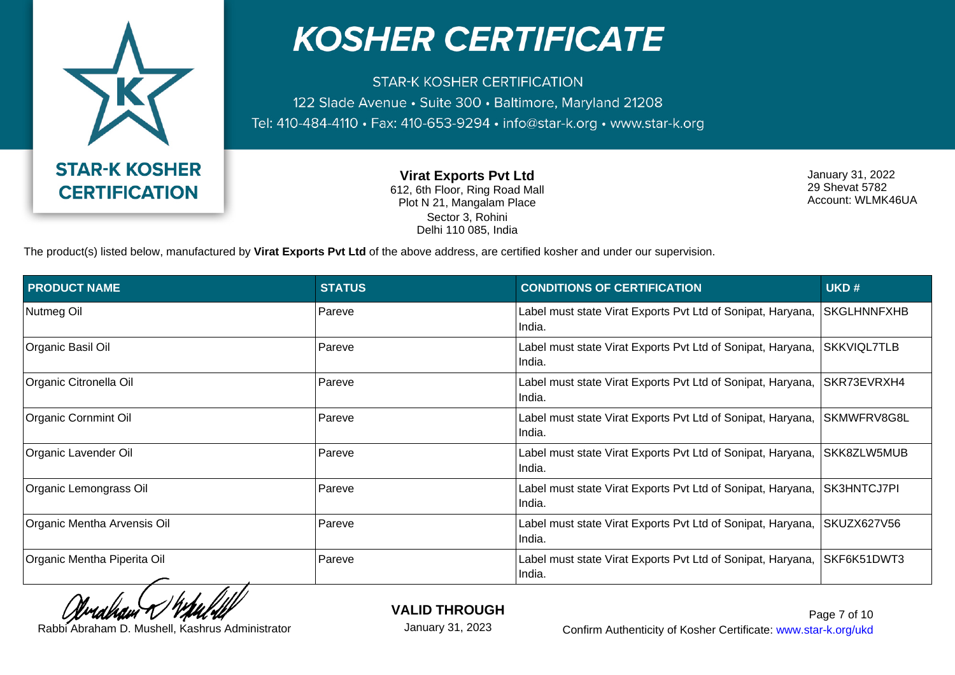

**STAR-K KOSHER CERTIFICATION** 122 Slade Avenue · Suite 300 · Baltimore, Maryland 21208 Tel: 410-484-4110 · Fax: 410-653-9294 · info@star-k.org · www.star-k.org

> **Virat Exports Pvt Ltd** 612, 6th Floor, Ring Road Mall Plot N 21, Mangalam Place Sector 3, Rohini Delhi 110 085, India

January 31, 2022 29 Shevat 5782 Account: WLMK46UA

The product(s) listed below, manufactured by **Virat Exports Pvt Ltd** of the above address, are certified kosher and under our supervision.

| <b>PRODUCT NAME</b>         | <b>STATUS</b> | <b>CONDITIONS OF CERTIFICATION</b>                                    | UKD#        |
|-----------------------------|---------------|-----------------------------------------------------------------------|-------------|
| Nutmeg Oil                  | Pareve        | Label must state Virat Exports Pvt Ltd of Sonipat, Haryana,<br>India. | SKGLHNNFXHB |
| Organic Basil Oil           | Pareve        | Label must state Virat Exports Pvt Ltd of Sonipat, Haryana,<br>India. | SKKVIQL7TLB |
| Organic Citronella Oil      | Pareve        | Label must state Virat Exports Pvt Ltd of Sonipat, Haryana,<br>India. | SKR73EVRXH4 |
| Organic Cornmint Oil        | Pareve        | Label must state Virat Exports Pvt Ltd of Sonipat, Haryana,<br>India. | SKMWFRV8G8L |
| Organic Lavender Oil        | Pareve        | Label must state Virat Exports Pvt Ltd of Sonipat, Haryana,<br>India. | SKK8ZLW5MUB |
| Organic Lemongrass Oil      | Pareve        | Label must state Virat Exports Pvt Ltd of Sonipat, Haryana,<br>India. | SK3HNTCJ7PI |
| Organic Mentha Arvensis Oil | Pareve        | Label must state Virat Exports Pvt Ltd of Sonipat, Haryana,<br>India. | SKUZX627V56 |
| Organic Mentha Piperita Oil | Pareve        | Label must state Virat Exports Pvt Ltd of Sonipat, Haryana,<br>India. | SKF6K51DWT3 |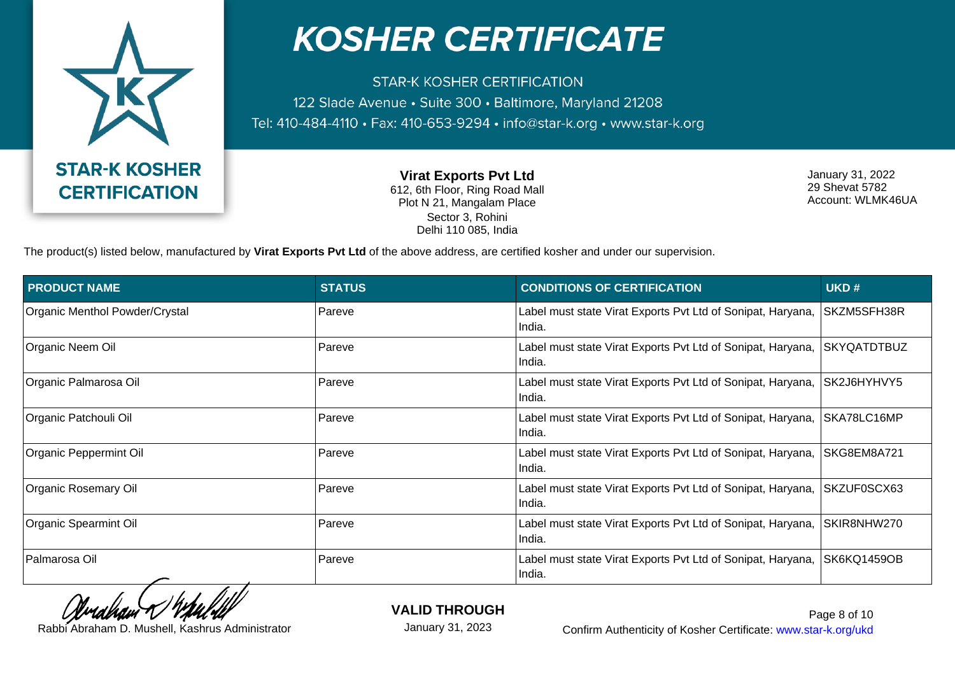

**STAR-K KOSHER CERTIFICATION** 122 Slade Avenue · Suite 300 · Baltimore, Maryland 21208 Tel: 410-484-4110 · Fax: 410-653-9294 · info@star-k.org · www.star-k.org

> **Virat Exports Pvt Ltd** 612, 6th Floor, Ring Road Mall Plot N 21, Mangalam Place Sector 3, Rohini Delhi 110 085, India

January 31, 2022 29 Shevat 5782 Account: WLMK46UA

The product(s) listed below, manufactured by **Virat Exports Pvt Ltd** of the above address, are certified kosher and under our supervision.

| <b>PRODUCT NAME</b>            | <b>STATUS</b> | <b>CONDITIONS OF CERTIFICATION</b>                                    | UKD#               |
|--------------------------------|---------------|-----------------------------------------------------------------------|--------------------|
| Organic Menthol Powder/Crystal | Pareve        | Label must state Virat Exports Pvt Ltd of Sonipat, Haryana,<br>India. | SKZM5SFH38R        |
| Organic Neem Oil               | Pareve        | Label must state Virat Exports Pvt Ltd of Sonipat, Haryana,<br>India. | <b>SKYQATDTBUZ</b> |
| Organic Palmarosa Oil          | Pareve        | Label must state Virat Exports Pvt Ltd of Sonipat, Haryana,<br>India. | SK2J6HYHVY5        |
| Organic Patchouli Oil          | Pareve        | Label must state Virat Exports Pvt Ltd of Sonipat, Haryana,<br>India. | SKA78LC16MP        |
| Organic Peppermint Oil         | Pareve        | Label must state Virat Exports Pvt Ltd of Sonipat, Haryana,<br>India. | SKG8EM8A721        |
| <b>Organic Rosemary Oil</b>    | Pareve        | Label must state Virat Exports Pvt Ltd of Sonipat, Haryana,<br>India. | SKZUF0SCX63        |
| Organic Spearmint Oil          | Pareve        | Label must state Virat Exports Pvt Ltd of Sonipat, Haryana,<br>India. | SKIR8NHW270        |
| Palmarosa Oil                  | Pareve        | Label must state Virat Exports Pvt Ltd of Sonipat, Haryana,<br>India. | SK6KQ1459OB        |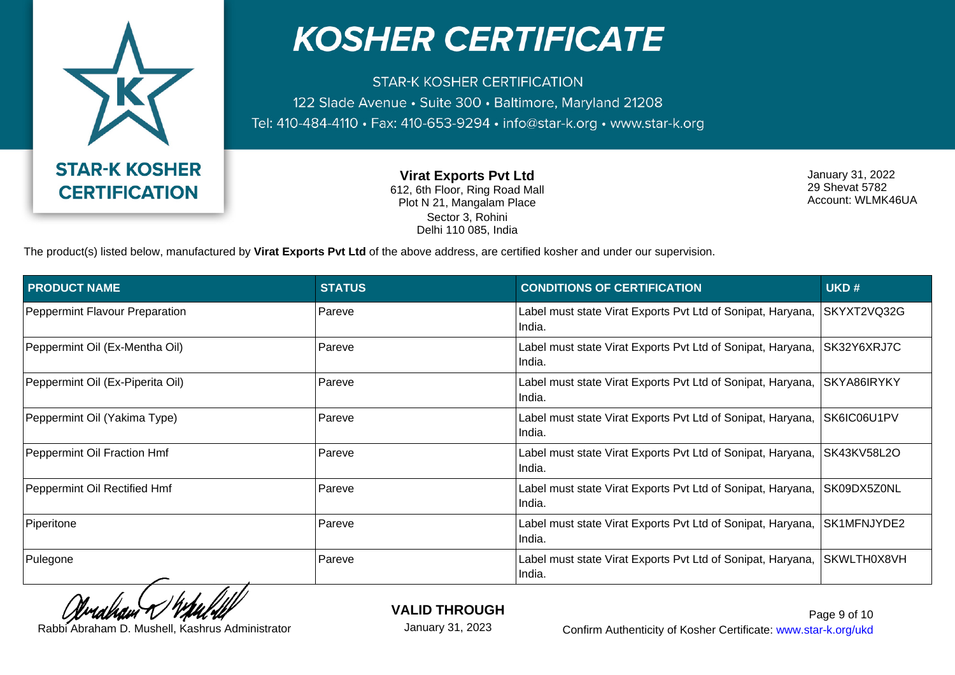

**STAR-K KOSHER CERTIFICATION** 122 Slade Avenue · Suite 300 · Baltimore, Maryland 21208 Tel: 410-484-4110 · Fax: 410-653-9294 · info@star-k.org · www.star-k.org

> **Virat Exports Pvt Ltd** 612, 6th Floor, Ring Road Mall Plot N 21, Mangalam Place Sector 3, Rohini Delhi 110 085, India

January 31, 2022 29 Shevat 5782 Account: WLMK46UA

The product(s) listed below, manufactured by **Virat Exports Pvt Ltd** of the above address, are certified kosher and under our supervision.

| <b>PRODUCT NAME</b>              | <b>STATUS</b> | <b>CONDITIONS OF CERTIFICATION</b>                                    | UKD#        |
|----------------------------------|---------------|-----------------------------------------------------------------------|-------------|
| Peppermint Flavour Preparation   | Pareve        | Label must state Virat Exports Pvt Ltd of Sonipat, Haryana,<br>India. | SKYXT2VQ32G |
| Peppermint Oil (Ex-Mentha Oil)   | Pareve        | Label must state Virat Exports Pvt Ltd of Sonipat, Haryana,<br>India. | SK32Y6XRJ7C |
| Peppermint Oil (Ex-Piperita Oil) | Pareve        | Label must state Virat Exports Pvt Ltd of Sonipat, Haryana,<br>India. | SKYA86IRYKY |
| Peppermint Oil (Yakima Type)     | Pareve        | Label must state Virat Exports Pvt Ltd of Sonipat, Haryana,<br>India. | SK6IC06U1PV |
| Peppermint Oil Fraction Hmf      | Pareve        | Label must state Virat Exports Pvt Ltd of Sonipat, Haryana,<br>India. | SK43KV58L2O |
| Peppermint Oil Rectified Hmf     | Pareve        | Label must state Virat Exports Pvt Ltd of Sonipat, Haryana,<br>India. | SK09DX5Z0NL |
| Piperitone                       | Pareve        | Label must state Virat Exports Pvt Ltd of Sonipat, Haryana,<br>India. | SK1MFNJYDE2 |
| Pulegone                         | Pareve        | Label must state Virat Exports Pvt Ltd of Sonipat, Haryana,<br>India. | SKWLTH0X8VH |